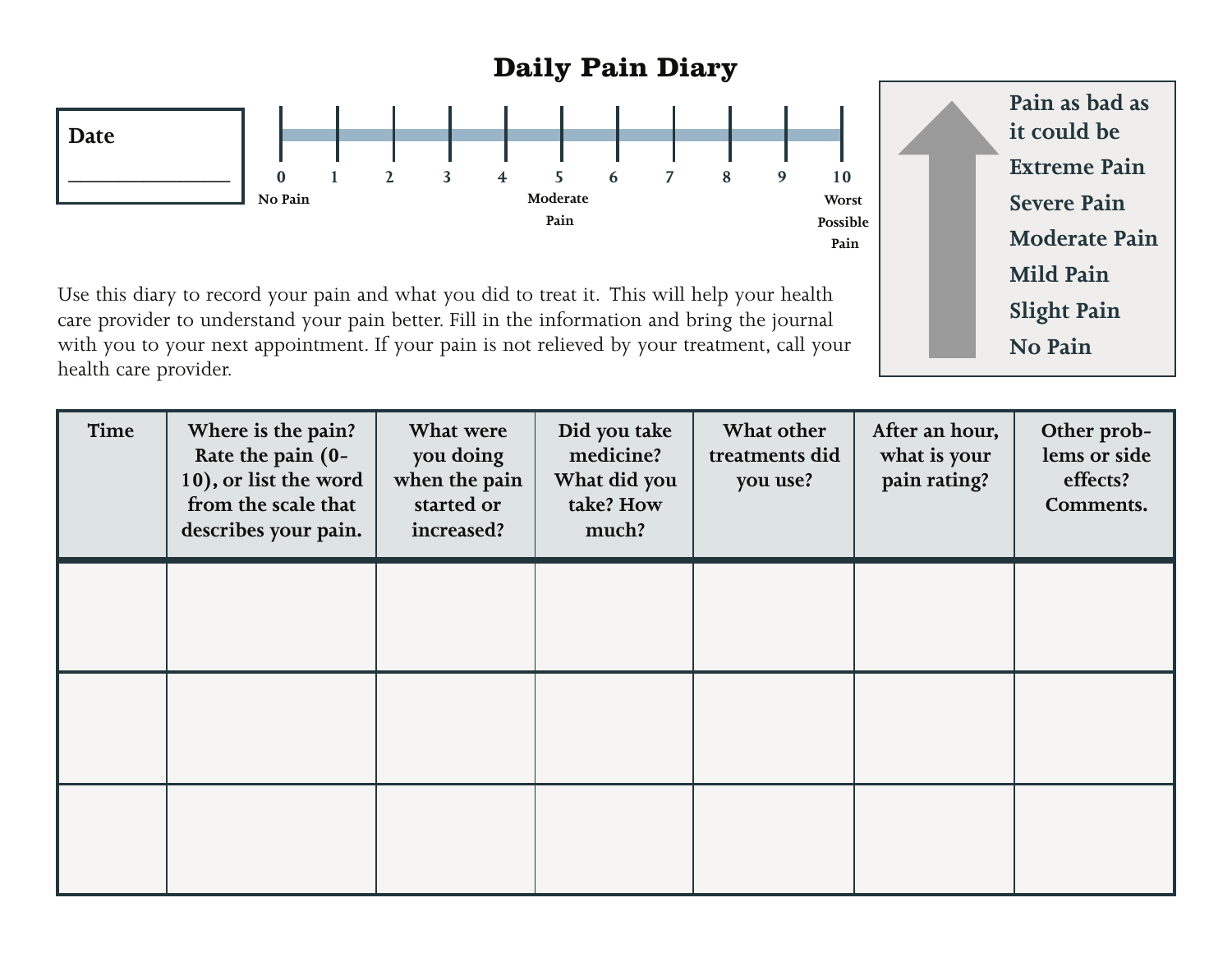## **Daily Pain Diary**



Use this diary to record your pain and what you did to treat it. This will help your health care provider to understand your pain better. Fill in the information and bring the journal with you to your next appointment. If your pain is not relieved by your treatment, call your health care provider.

**Pain as bad as it could be Extreme Pain Severe Pain Moderate Pain Mild Pain No Pain Slight Pain**

| Time | Where is the pain?<br>Rate the pain (0-<br>10), or list the word<br>from the scale that<br>describes your pain. | What were<br>you doing<br>when the pain<br>started or<br>increased? | Did you take<br>medicine?<br>What did you<br>take? How<br>much? | What other<br>treatments did<br>you use? | After an hour,<br>what is your<br>pain rating? | Other prob-<br>lems or side<br>effects?<br>Comments. |
|------|-----------------------------------------------------------------------------------------------------------------|---------------------------------------------------------------------|-----------------------------------------------------------------|------------------------------------------|------------------------------------------------|------------------------------------------------------|
|      |                                                                                                                 |                                                                     |                                                                 |                                          |                                                |                                                      |
|      |                                                                                                                 |                                                                     |                                                                 |                                          |                                                |                                                      |
|      |                                                                                                                 |                                                                     |                                                                 |                                          |                                                |                                                      |